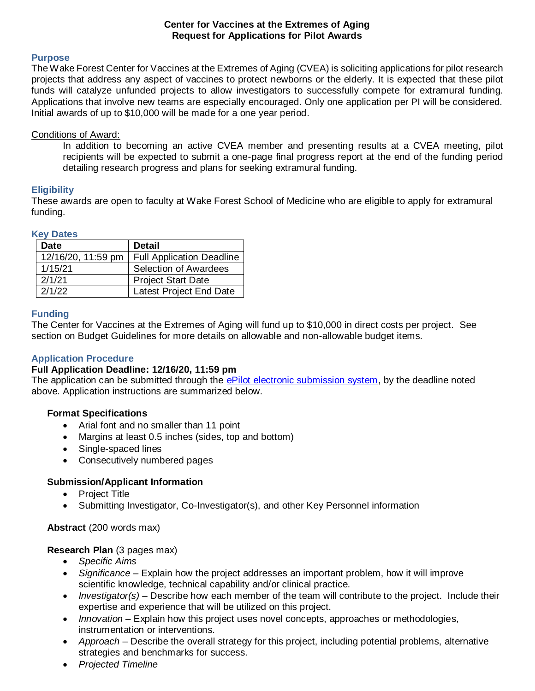### **Center for Vaccines at the Extremes of Aging Request for Applications for Pilot Awards**

### **Purpose**

The Wake Forest Center for Vaccines at the Extremes of Aging (CVEA) is soliciting applications for pilot research projects that address any aspect of vaccines to protect newborns or the elderly. It is expected that these pilot funds will catalyze unfunded projects to allow investigators to successfully compete for extramural funding. Applications that involve new teams are especially encouraged. Only one application per PI will be considered. Initial awards of up to \$10,000 will be made for a one year period.

### Conditions of Award:

In addition to becoming an active CVEA member and presenting results at a CVEA meeting, pilot recipients will be expected to submit a one-page final progress report at the end of the funding period detailing research progress and plans for seeking extramural funding.

## **Eligibility**

These awards are open to faculty at Wake Forest School of Medicine who are eligible to apply for extramural funding.

### **Key Dates**

| <b>Date</b>        | <b>Detail</b>                    |
|--------------------|----------------------------------|
| 12/16/20, 11:59 pm | <b>Full Application Deadline</b> |
| 1/15/21            | <b>Selection of Awardees</b>     |
| 2/1/21             | <b>Project Start Date</b>        |
| 2/1/22             | Latest Project End Date          |

### **Funding**

The Center for Vaccines at the Extremes of Aging will fund up to \$10,000 in direct costs per project. See section on Budget Guidelines for more details on allowable and non-allowable budget items.

## **Application Procedure**

## **Full Application Deadline: 12/16/20, 11:59 pm**

The application can be submitted through the [ePilot electronic submission system,](https://redcap.wakehealth.edu/redcap/surveys/?s=RREW3WHRE3) by the deadline noted above. Application instructions are summarized below.

### **Format Specifications**

- Arial font and no smaller than 11 point
- Margins at least 0.5 inches (sides, top and bottom)
- Single-spaced lines
- Consecutively numbered pages

## **Submission/Applicant Information**

- Project Title
- Submitting Investigator, Co-Investigator(s), and other Key Personnel information

## **Abstract** (200 words max)

## **Research Plan** (3 pages max)

- *Specific Aims*
- *Significance* Explain how the project addresses an important problem, how it will improve scientific knowledge, technical capability and/or clinical practice.
- *Investigator(s)* Describe how each member of the team will contribute to the project. Include their expertise and experience that will be utilized on this project.
- *Innovation* Explain how this project uses novel concepts, approaches or methodologies, instrumentation or interventions.
- *Approach* Describe the overall strategy for this project, including potential problems, alternative strategies and benchmarks for success.
- *Projected Timeline*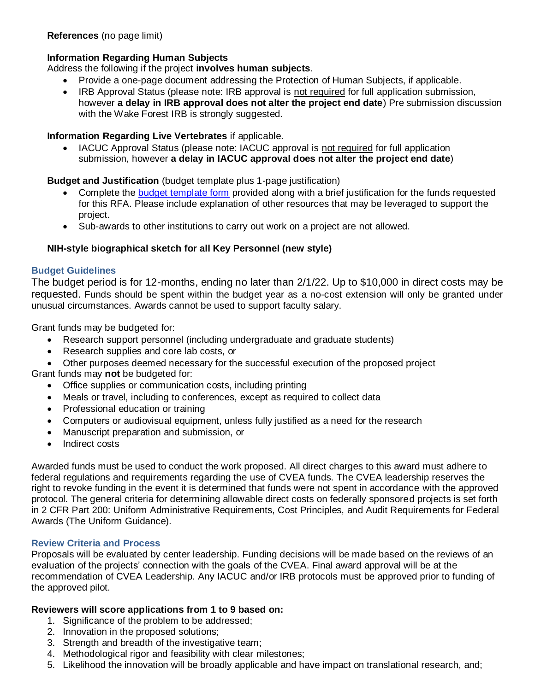# **Information Regarding Human Subjects**

Address the following if the project **involves human subjects**.

- Provide a one-page document addressing the Protection of Human Subjects, if applicable.
- IRB Approval Status (please note: IRB approval is not required for full application submission, however **a delay in IRB approval does not alter the project end date**) Pre submission discussion with the Wake Forest IRB is strongly suggested.

## **Information Regarding Live Vertebrates** if applicable.

 IACUC Approval Status (please note: IACUC approval is not required for full application submission, however **a delay in IACUC approval does not alter the project end date**)

## **Budget and Justification** (budget template plus 1-page justification)

- Complete the [budget template form](https://wakehealth.sharepoint.com/:x:/r/teams/CTSIWebCollection/Shared%20Documents/CSTI-Public/CTSI%20Pilot%20Budget%20Template.xlsx) provided along with a brief justification for the funds requested for this RFA. Please include explanation of other resources that may be leveraged to support the project.
- Sub-awards to other institutions to carry out work on a project are not allowed.

## **NIH-style biographical sketch for all Key Personnel (new style)**

## **Budget Guidelines**

The budget period is for 12-months, ending no later than 2/1/22. Up to \$10,000 in direct costs may be requested. Funds should be spent within the budget year as a no-cost extension will only be granted under unusual circumstances. Awards cannot be used to support faculty salary.

Grant funds may be budgeted for:

- Research support personnel (including undergraduate and graduate students)
- Research supplies and core lab costs, or
- Other purposes deemed necessary for the successful execution of the proposed project

Grant funds may **not** be budgeted for:

- Office supplies or communication costs, including printing
- Meals or travel, including to conferences, except as required to collect data
- Professional education or training
- Computers or audiovisual equipment, unless fully justified as a need for the research
- Manuscript preparation and submission, or
- Indirect costs

Awarded funds must be used to conduct the work proposed. All direct charges to this award must adhere to federal regulations and requirements regarding the use of CVEA funds. The CVEA leadership reserves the right to revoke funding in the event it is determined that funds were not spent in accordance with the approved protocol. The general criteria for determining allowable direct costs on federally sponsored projects is set forth in 2 CFR Part 200: Uniform Administrative Requirements, Cost Principles, and Audit Requirements for Federal Awards (The Uniform Guidance).

## **Review Criteria and Process**

Proposals will be evaluated by center leadership. Funding decisions will be made based on the reviews of an evaluation of the projects' connection with the goals of the CVEA. Final award approval will be at the recommendation of CVEA Leadership. Any IACUC and/or IRB protocols must be approved prior to funding of the approved pilot.

# **Reviewers will score applications from 1 to 9 based on:**

- 1. Significance of the problem to be addressed;
- 2. Innovation in the proposed solutions;
- 3. Strength and breadth of the investigative team;
- 4. Methodological rigor and feasibility with clear milestones;
- 5. Likelihood the innovation will be broadly applicable and have impact on translational research, and;